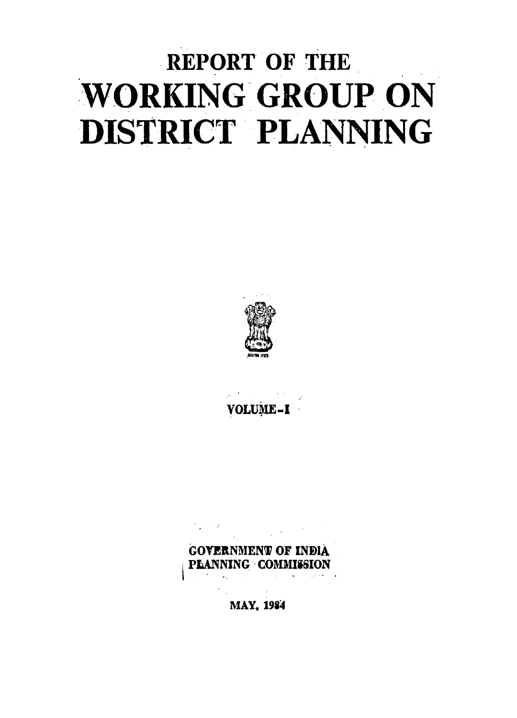# **REPORT OF THE WORKING GROUP ON** DISTRICT PLANNING



VOLUME-I

**GOVERNMENT OF INDIA PLANNING COMMISSION** 

**MAY, 1984**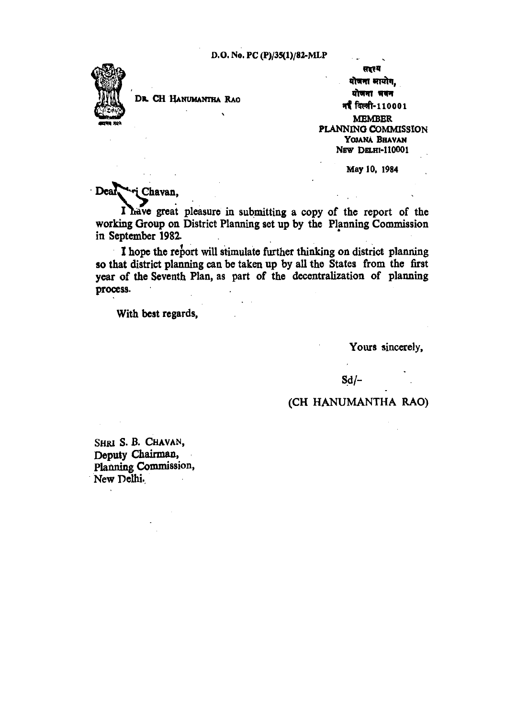

DR. CH HANUMANTHA RAO

'

सारय योजना मायोग. योजना भवन गईं दिल्ली-110001 MEMBBR PLANNING COMMISSION YOJANA BBAVAN NBW DBLHI·Il0001

May 10, 1984

 $\sim 10$ 

Deal ... Chavan,

I have great pleasure in submitting a copy of the report of the working Group on District Planning set up by the Planning Commission in September 1982.

I hope the report will stimulate further thinking on district planning so that district planning can be taken up by all the States from the first year of the Seventh Plan, as part of the decentralization of planning process.

With best regards,

Yours sincerely,

 $Sd$  –

#### (CH HANUMANTHA RAO)

SHRI S. B. CHAVAN, Deputy Chairman, Planning Commission, New Delhi.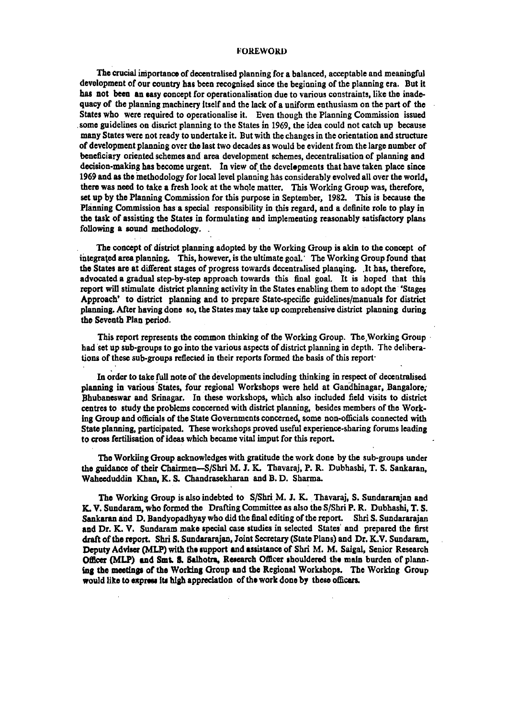#### FOREWORD

The crucial importance of decentralised planning for a balanced, acceptable and meaningful development of our country has been recognised since the beginning of the planning era. But it has not been an easy concept for operationalisation due to various constraints, like the inadequacy of the planning machinery Itself and the lack of a uniform enthusiasm on the part of the States who were required to operationalise it. Even though the Planning Commission issued . some guidelines on disuict planning to the States in 1969, the idea could not catch up because many States were not ready to undertake it. But with the changes in the orientation and structure of development planning over the last two decades as would be evident from the large number of beneficiary oriented schemes and area development schemes, decentralisation of planning and decision-making has become urgent. In view of the developments that have taken place since 1969 and as the methodology for local level planning has considerably evolved all over the world, there was need to take a fresh look at the whole matter. This Working Group was, therefore, set up by the Planning Commission for this purpose in September, 1982. This is because the Planning Commission has a special responsibility in this regard, and a definite role to play in the task of assisting the States in formulating and implementing reasonably satisfactory plans following a sound methodology...

The concept of district planning adopted by the Working Group is akin to the concept of integrated area planning. This, however, is the ultimate goal. The Working Group found that the States are at different stages of progress towards decentralised planning. .It has, therefore, advocated a gradual step-by-step approach towards this final goal. It is hoped that this report will stimulate district planning activity in the States enabling them to adopt the 'Stages' Approach' to district planning and to prepare State-specific guidelines/manuals for district planning. After having done so, the States may take up comprehensive district planning during the Seventh Plan period.

This report represents the common thinking of the Working Group. The Working Group  $\cdot$ had set up sub-groups to go into the various aspects of district planning in depth. The deliberations of these sub-groups reflected in their reports formed the basis of this report·

In order to take full note of the developments including thinking in respect of decentralised planning in various States, four regional Workshops were held at Gandhinagar, Bangalore, Bhubaneswar and Srinagar. In these workshops, which also included field visits to district centres to study the problems concerned with district planning, besides members of the Working Group and officials of the State Governments concerned, some non-officials connected with State planning, participated. These workshops proved useful experience-sharing forums leading to cross fertilisation of ideas which became vital imput for this report.

The Workiing Group acknowledges with gratitude the work done by the sub-groups under the guidance of their Chairmen-S/Shri M. J. K. Thavaraj, P. R. Dubhashi, T. S. Sankaran, Waheeduddin Khan, K. S. Chandrasekharan and B. D. Sharma.

The Working Group is also indebted to S/Shri M. J. K. Thavaraj, S. Sundararajan and K. V. Sundaram, who formed the Drafting Committee as also the S/Shri P. R. Dubhashi, T. S. Sankaran and D. Bandyopadhyay who did the final editing of the report. Shri S. Sundararajan and Dr. K. V. Sundaram make special case studies in selected States' and prepared the first draft of the report. Shri S. Sundararajan, Joint Secretary (State Plans) and Dr. K.V. Sundaram, Deputy Adviser (MLP) with the support and assistance of Shri M. M. Saigal, Senior Research Officer (MLP) and Smt. S. Salhotra, Research Officer shouldered the main burden of planning the meetings of the Working Group and the Regional Workshops. The Working Group would like to express its high appreciation of the work done by these officers.